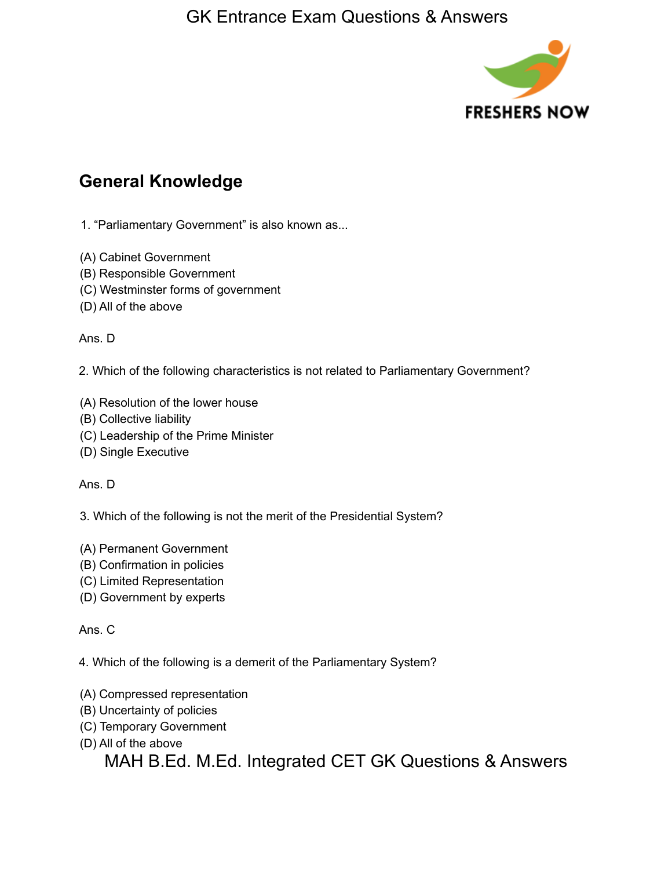

# **General Knowledge**

1. "Parliamentary Government" is also known as...

- (A) Cabinet Government
- (B) Responsible Government
- (C) Westminster forms of government
- (D) All of the above

Ans. D

2. Which of the following characteristics is not related to Parliamentary Government?

- (A) Resolution of the lower house
- (B) Collective liability
- (C) Leadership of the Prime Minister
- (D) Single Executive

Ans. D

3. Which of the following is not the merit of the Presidential System?

- (A) Permanent Government
- (B) Confirmation in policies
- (C) Limited Representation
- (D) Government by experts

#### Ans. C

4. Which of the following is a demerit of the Parliamentary System?

- (A) Compressed representation
- (B) Uncertainty of policies
- (C) Temporary Government
- (D) All of the above

MAH B.Ed. M.Ed. Integrated CET GK Questions & Answers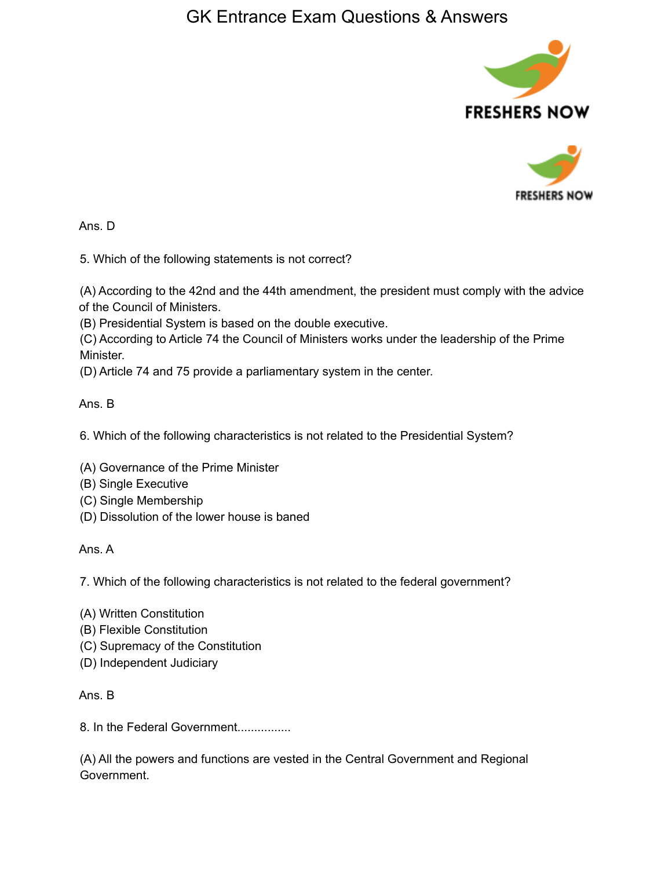



Ans. D

5. Which of the following statements is not correct?

(A) According to the 42nd and the 44th amendment, the president must comply with the advice of the Council of Ministers.

(B) Presidential System is based on the double executive.

(C) According to Article 74 the Council of Ministers works under the leadership of the Prime Minister.

(D) Article 74 and 75 provide a parliamentary system in the center.

Ans. B

6. Which of the following characteristics is not related to the Presidential System?

- (A) Governance of the Prime Minister
- (B) Single Executive
- (C) Single Membership
- (D) Dissolution of the lower house is baned

Ans. A

7. Which of the following characteristics is not related to the federal government?

- (A) Written Constitution
- (B) Flexible Constitution
- (C) Supremacy of the Constitution
- (D) Independent Judiciary

Ans. B

8. In the Federal Government................

(A) All the powers and functions are vested in the Central Government and Regional Government.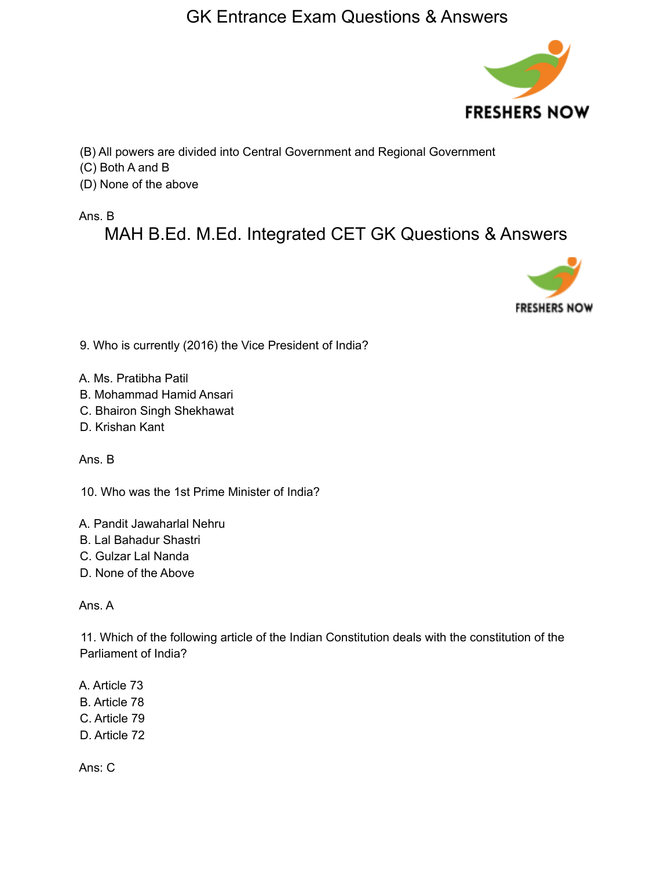

(B) All powers are divided into Central Government and Regional Government

(C) Both A and B

(D) None of the above

Ans. B

MAH B.Ed. M.Ed. Integrated CET GK Questions & Answers



9. Who is currently (2016) the Vice President of India?

- A. Ms. Pratibha Patil
- B. Mohammad Hamid Ansari
- C. Bhairon Singh Shekhawat
- D. Krishan Kant

Ans. B

10. Who was the 1st Prime Minister of India?

- A. Pandit Jawaharlal Nehru
- B. Lal Bahadur Shastri
- C. Gulzar Lal Nanda
- D. None of the Above

Ans. A

11. Which of the following article of the Indian Constitution deals with the constitution of the Parliament of India?

A. Article 73 B. Article 78 C. Article 79 D. Article 72

Ans: C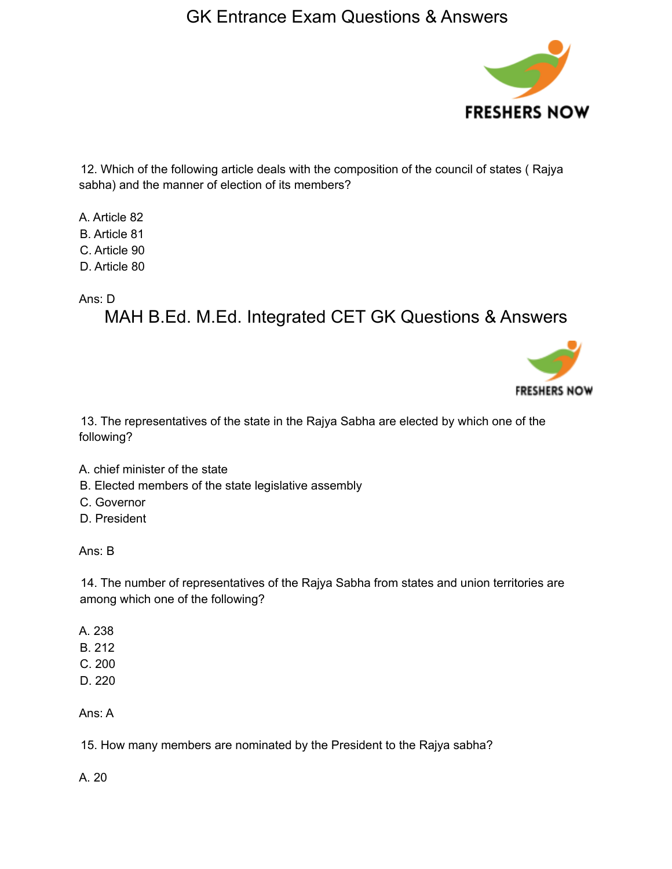

12. Which of the following article deals with the composition of the council of states ( Rajya sabha) and the manner of election of its members?

A. Article 82 B. Article 81 C. Article 90 D. Article 80

Ans: D

MAH B.Ed. M.Ed. Integrated CET GK Questions & Answers



13. The representatives of the state in the Rajya Sabha are elected by which one of the following?

- A. chief minister of the state
- B. Elected members of the state legislative assembly
- C. Governor
- D. President

Ans: B

14. The number of representatives of the Rajya Sabha from states and union territories are among which one of the following?

- A. 238
- B. 212
- C. 200
- D. 220

Ans: A

15. How many members are nominated by the President to the Rajya sabha?

A. 20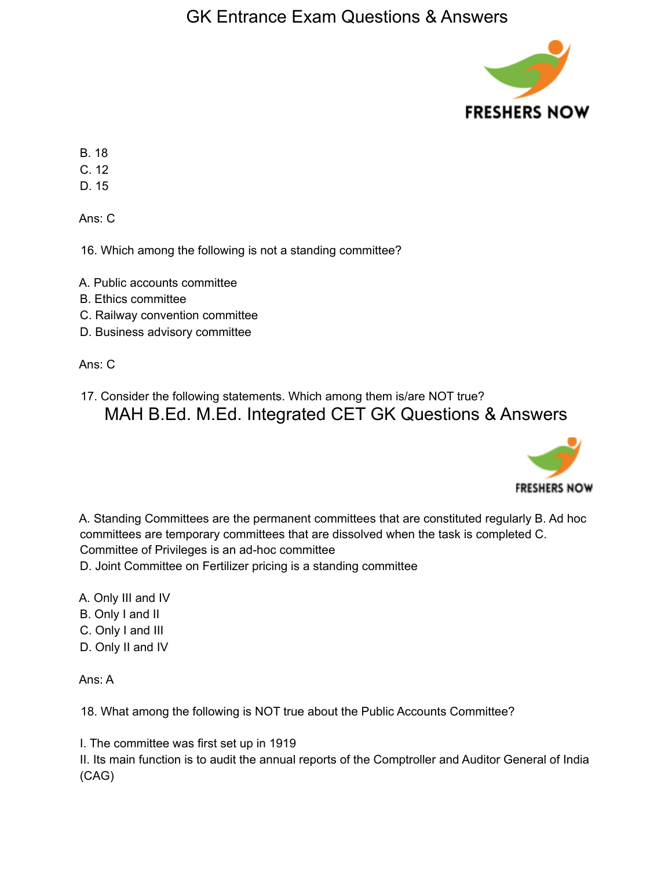

- B. 18
- C. 12
- D. 15

Ans: C

16. Which among the following is not a standing committee?

- A. Public accounts committee
- B. Ethics committee
- C. Railway convention committee
- D. Business advisory committee

Ans: C

17. Consider the following statements. Which among them is/are NOT true? MAH B.Ed. M.Ed. Integrated CET GK Questions & Answers



A. Standing Committees are the permanent committees that are constituted regularly B. Ad hoc committees are temporary committees that are dissolved when the task is completed C. Committee of Privileges is an ad-hoc committee

- D. Joint Committee on Fertilizer pricing is a standing committee
- A. Only III and IV
- B. Only I and II
- C. Only I and III
- D. Only II and IV

Ans: A

18. What among the following is NOT true about the Public Accounts Committee?

I. The committee was first set up in 1919

II. Its main function is to audit the annual reports of the Comptroller and Auditor General of India (CAG)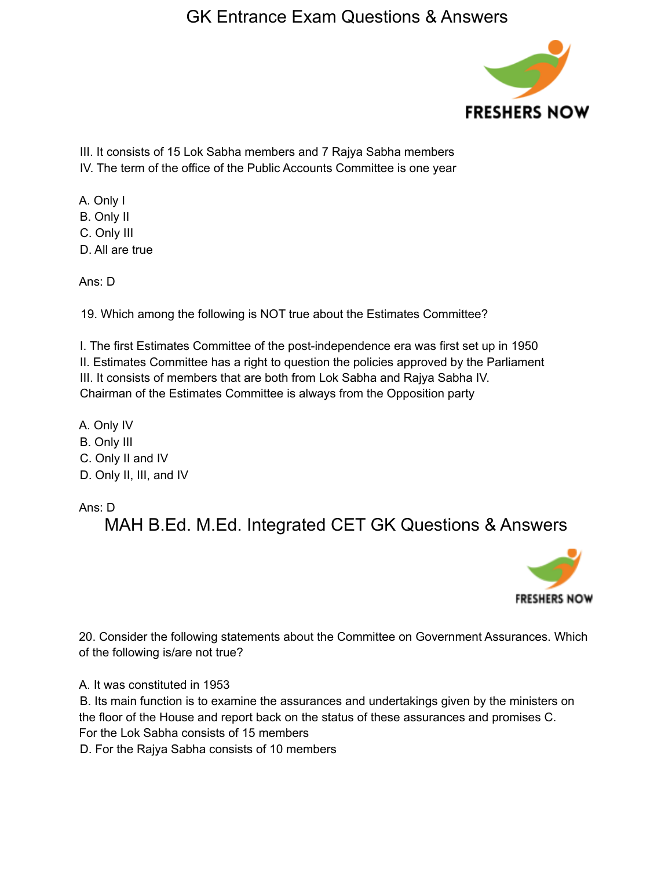

III. It consists of 15 Lok Sabha members and 7 Rajya Sabha members IV. The term of the office of the Public Accounts Committee is one year

A. Only I B. Only II C. Only III

D. All are true

Ans: D

19. Which among the following is NOT true about the Estimates Committee?

I. The first Estimates Committee of the post-independence era was first set up in 1950 II. Estimates Committee has a right to question the policies approved by the Parliament III. It consists of members that are both from Lok Sabha and Rajya Sabha IV. Chairman of the Estimates Committee is always from the Opposition party

A. Only IV B. Only III C. Only II and IV D. Only II, III, and IV

Ans: D

MAH B.Ed. M.Ed. Integrated CET GK Questions & Answers



20. Consider the following statements about the Committee on Government Assurances. Which of the following is/are not true?

A. It was constituted in 1953

B. Its main function is to examine the assurances and undertakings given by the ministers on the floor of the House and report back on the status of these assurances and promises C. For the Lok Sabha consists of 15 members

D. For the Rajya Sabha consists of 10 members